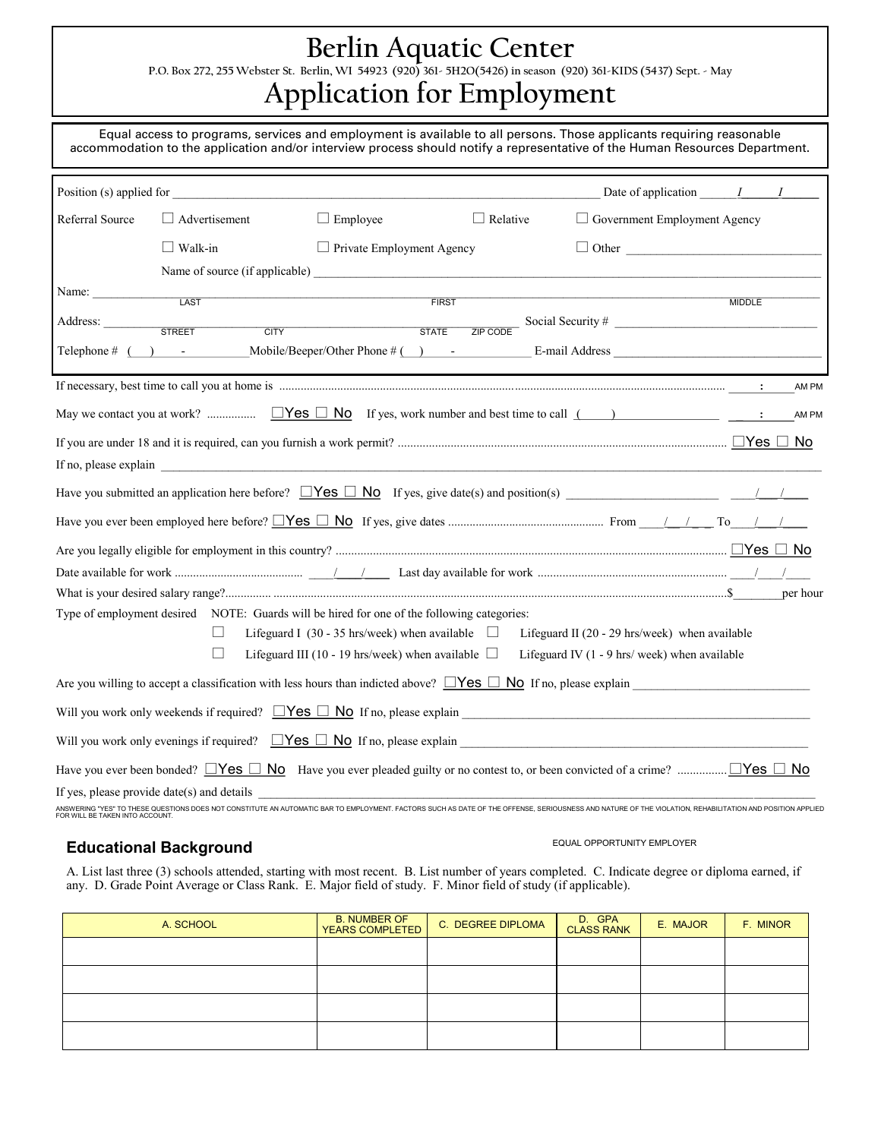## **Berlin Aquatic Center**

**P.O. Box 272, 255 Webster St. Berlin, WI 54923 (920) 361- 5H2O(5426) in season (920) 361-KIDS (5437) Sept. - May**

# **Application for Employment**

Equal access to programs, services and employment is available to all persons. Those applicants requiring reasonable accommodation to the application and/or interview process should notify a representative of the Human Resources Department.

|                                                                  | Position (s) applied for                                                                                                                                                                                                       |                                                        |                 | Date of application $I \t I$                                                                                          |               |  |
|------------------------------------------------------------------|--------------------------------------------------------------------------------------------------------------------------------------------------------------------------------------------------------------------------------|--------------------------------------------------------|-----------------|-----------------------------------------------------------------------------------------------------------------------|---------------|--|
| Referral Source                                                  | $\Box$ Advertisement                                                                                                                                                                                                           | $\Box$ Employee                                        | $\Box$ Relative | Government Employment Agency                                                                                          |               |  |
|                                                                  | $\Box$ Walk-in                                                                                                                                                                                                                 | $\Box$ Private Employment Agency                       |                 | $\Box$ Other                                                                                                          |               |  |
|                                                                  |                                                                                                                                                                                                                                |                                                        |                 |                                                                                                                       |               |  |
| Name: $\frac{1}{\sqrt{1-\frac{1}{2}}\left(1-\frac{1}{2}\right)}$ | <b>TAST</b>                                                                                                                                                                                                                    | <b>FIRST</b>                                           |                 |                                                                                                                       | <b>MIDDLE</b> |  |
| Address: STREET                                                  | <b>CITY</b>                                                                                                                                                                                                                    | <b>STATE</b>                                           |                 |                                                                                                                       |               |  |
| Telephone $\#$ ( ) -                                             |                                                                                                                                                                                                                                |                                                        |                 |                                                                                                                       |               |  |
|                                                                  |                                                                                                                                                                                                                                |                                                        |                 | <u> 1989 - Johann Stoff, deutscher Stoff, der Stoff, der Stoff, der Stoff, der Stoff, der Stoff, der Stoff, der S</u> |               |  |
|                                                                  | May we contact you at work? $\Box$ Yes $\Box$ No If yes, work number and best time to call $($ $)$                                                                                                                             |                                                        |                 |                                                                                                                       |               |  |
|                                                                  |                                                                                                                                                                                                                                |                                                        |                 |                                                                                                                       |               |  |
|                                                                  | If no, please explain the contract of the contract of the contract of the contract of the contract of the contract of the contract of the contract of the contract of the contract of the contract of the contract of the cont |                                                        |                 |                                                                                                                       |               |  |
|                                                                  |                                                                                                                                                                                                                                |                                                        |                 |                                                                                                                       |               |  |
|                                                                  |                                                                                                                                                                                                                                |                                                        |                 |                                                                                                                       |               |  |
|                                                                  |                                                                                                                                                                                                                                |                                                        |                 |                                                                                                                       |               |  |
|                                                                  |                                                                                                                                                                                                                                |                                                        |                 |                                                                                                                       |               |  |
|                                                                  |                                                                                                                                                                                                                                |                                                        |                 |                                                                                                                       |               |  |
|                                                                  | Type of employment desired NOTE: Guards will be hired for one of the following categories:                                                                                                                                     |                                                        |                 |                                                                                                                       |               |  |
|                                                                  | $\Box$                                                                                                                                                                                                                         | Lifeguard I (30 - 35 hrs/week) when available $\Box$   |                 | Lifeguard II $(20 - 29)$ hrs/week) when available                                                                     |               |  |
|                                                                  | O                                                                                                                                                                                                                              | Lifeguard III (10 - 19 hrs/week) when available $\Box$ |                 | Lifeguard IV $(1 - 9)$ hrs/week) when available                                                                       |               |  |
|                                                                  | Are you willing to accept a classification with less hours than indicted above? $\Box$ Yes $\Box$ No If no, please explain                                                                                                     |                                                        |                 |                                                                                                                       |               |  |
|                                                                  |                                                                                                                                                                                                                                |                                                        |                 |                                                                                                                       |               |  |
|                                                                  | Will you work only evenings if required? $\Box$ Yes $\Box$ No If no, please explain                                                                                                                                            |                                                        |                 |                                                                                                                       |               |  |
|                                                                  |                                                                                                                                                                                                                                |                                                        |                 |                                                                                                                       |               |  |
|                                                                  | If yes, please provide $date(s)$ and details                                                                                                                                                                                   |                                                        |                 |                                                                                                                       |               |  |

ANSWERNG "YES" TO THESE QUESTIONS DOES NOT CONSTITUTE AN AUTOMATIC BAR TO EMPLOYMENT. FACTORS SUCH AS DATE OF THE OFTENSE, SERIOUSNESS AND NATURE OF THE VIOLATION, REHABILITATION AND POSITION APPLIED<br>FOR WILL BE TAKEN INTO

#### **Educational Background**

#### EQUAL OPPORTUNITY EMPLOYER

A. List last three (3) schools attended, starting with most recent. B. List number of years completed. C. Indicate degree or diploma earned, if any. D. Grade Point Average or Class Rank. E. Major field of study. F. Minor field of study (if applicable).

| A. SCHOOL | <b>B. NUMBER OF</b><br>YEARS COMPLETED | C. DEGREE DIPLOMA | D. GPA<br><b>CLASS RANK</b> | E. MAJOR | F. MINOR |
|-----------|----------------------------------------|-------------------|-----------------------------|----------|----------|
|           |                                        |                   |                             |          |          |
|           |                                        |                   |                             |          |          |
|           |                                        |                   |                             |          |          |
|           |                                        |                   |                             |          |          |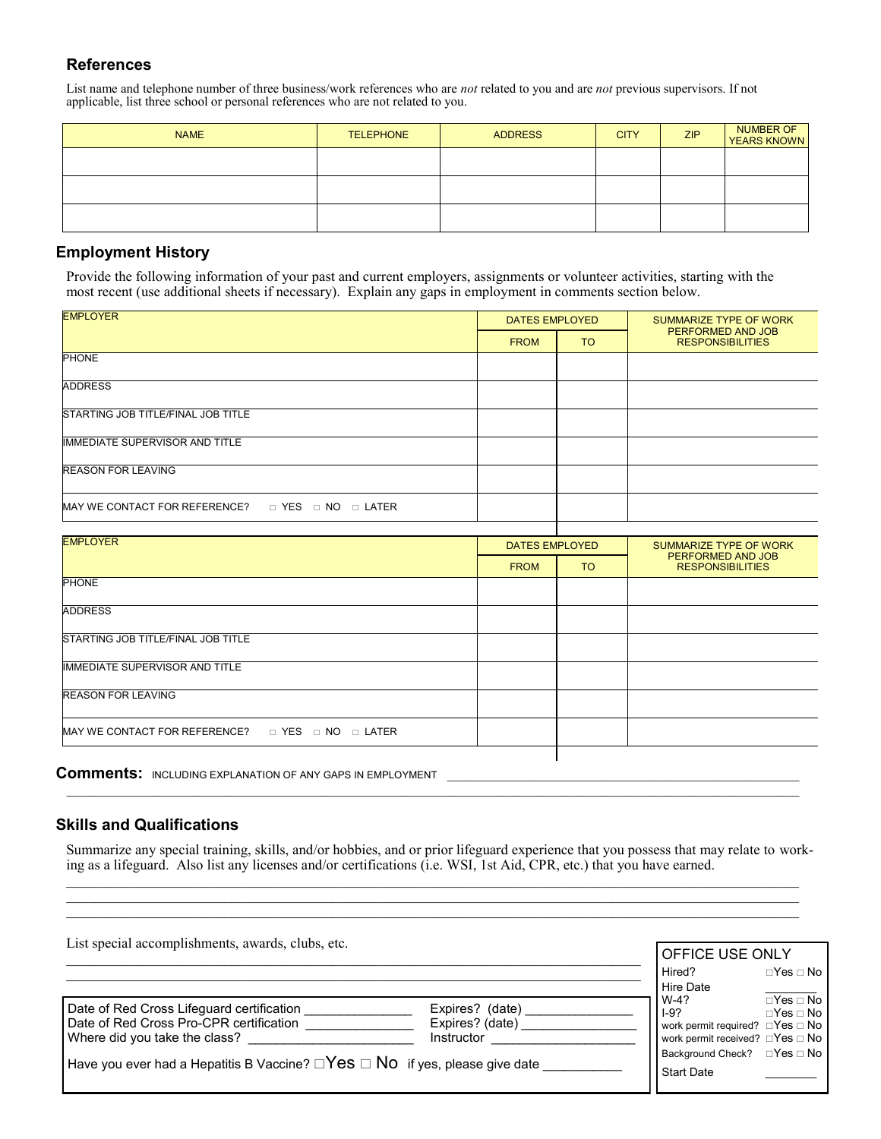#### **References**

List name and telephone number of three business/work references who are *not* related to you and are *not* previous supervisors. If not applicable, list three school or personal references who are not related to you.

| <b>NAME</b> | <b>TELEPHONE</b> | <b>ADDRESS</b> | <b>CITY</b> | <b>ZIP</b> | NUMBER OF<br>YEARS KNOWN |
|-------------|------------------|----------------|-------------|------------|--------------------------|
|             |                  |                |             |            |                          |
|             |                  |                |             |            |                          |
|             |                  |                |             |            |                          |

#### **Employment History**

Provide the following information of your past and current employers, assignments or volunteer activities, starting with the most recent (use additional sheets if necessary). Explain any gaps in employment in comments section below.

| <b>EMPLOYER</b>                                                 | <b>DATES EMPLOYED</b> |           | SUMMARIZE TYPE OF WORK                       |  |
|-----------------------------------------------------------------|-----------------------|-----------|----------------------------------------------|--|
|                                                                 |                       | <b>TO</b> | PERFORMED AND JOB<br><b>RESPONSIBILITIES</b> |  |
| <b>PHONE</b>                                                    |                       |           |                                              |  |
| <b>ADDRESS</b>                                                  |                       |           |                                              |  |
| STARTING JOB TITLE/FINAL JOB TITLE                              |                       |           |                                              |  |
| <b>IMMEDIATE SUPERVISOR AND TITLE</b>                           |                       |           |                                              |  |
| <b>REASON FOR LEAVING</b>                                       |                       |           |                                              |  |
| MAY WE CONTACT FOR REFERENCE? $\Box$ YES $\Box$ NO $\Box$ LATER |                       |           |                                              |  |

Ι

| <b>EMPLOYER</b>                                                 |             | <b>DATES EMPLOYED</b> | <b>SUMMARIZE TYPE OF WORK</b>                |  |
|-----------------------------------------------------------------|-------------|-----------------------|----------------------------------------------|--|
|                                                                 | <b>FROM</b> | <b>TO</b>             | PERFORMED AND JOB<br><b>RESPONSIBILITIES</b> |  |
| <b>PHONE</b>                                                    |             |                       |                                              |  |
| <b>ADDRESS</b>                                                  |             |                       |                                              |  |
| STARTING JOB TITLE/FINAL JOB TITLE                              |             |                       |                                              |  |
| IMMEDIATE SUPERVISOR AND TITLE                                  |             |                       |                                              |  |
| <b>REASON FOR LEAVING</b>                                       |             |                       |                                              |  |
| MAY WE CONTACT FOR REFERENCE? $\Box$ YES $\Box$ NO $\Box$ LATER |             |                       |                                              |  |
|                                                                 |             |                       |                                              |  |

Comments: INCLUDING EXPLANATION OF ANY GAPS IN EMPLOYMENT

#### **Skills and Qualifications**

Summarize any special training, skills, and/or hobbies, and or prior lifeguard experience that you possess that may relate to working as a lifeguard. Also list any licenses and/or certifications (i.e. WSI, 1st Aid, CPR, etc.) that you have earned.

 $\mathcal{L}_\mathcal{L} = \{ \mathcal{L}_\mathcal{L} = \{ \mathcal{L}_\mathcal{L} = \{ \mathcal{L}_\mathcal{L} = \{ \mathcal{L}_\mathcal{L} = \{ \mathcal{L}_\mathcal{L} = \{ \mathcal{L}_\mathcal{L} = \{ \mathcal{L}_\mathcal{L} = \{ \mathcal{L}_\mathcal{L} = \{ \mathcal{L}_\mathcal{L} = \{ \mathcal{L}_\mathcal{L} = \{ \mathcal{L}_\mathcal{L} = \{ \mathcal{L}_\mathcal{L} = \{ \mathcal{L}_\mathcal{L} = \{ \mathcal{L}_\mathcal{$ 

 $\mathcal{L}_\text{max} = \frac{1}{2} \sum_{i=1}^n \mathcal{L}_\text{max} = \frac{1}{2} \sum_{i=1}^n \mathcal{L}_\text{max} = \frac{1}{2} \sum_{i=1}^n \mathcal{L}_\text{max} = \frac{1}{2} \sum_{i=1}^n \mathcal{L}_\text{max} = \frac{1}{2} \sum_{i=1}^n \mathcal{L}_\text{max} = \frac{1}{2} \sum_{i=1}^n \mathcal{L}_\text{max} = \frac{1}{2} \sum_{i=1}^n \mathcal{L}_\text{max} = \frac{1}{2} \sum_{i=$ 

| List special accomplishments, awards, clubs, etc.                                                                                                                                                                     |                                                  | OFFICE USE ONLY                                                                                                                                                                                                                                                                       |
|-----------------------------------------------------------------------------------------------------------------------------------------------------------------------------------------------------------------------|--------------------------------------------------|---------------------------------------------------------------------------------------------------------------------------------------------------------------------------------------------------------------------------------------------------------------------------------------|
| Date of Red Cross Lifeguard certification<br>Date of Red Cross Pro-CPR certification<br>Where did you take the class?<br>Have you ever had a Hepatitis B Vaccine? $\square$ Yes $\square$ No if yes, please give date | Expires? (date)<br>Expires? (date)<br>Instructor | $\Box$ Yes $\Box$ No<br>Hired?<br>Hire Date<br>$\overline{\Box}$ Yes $\Box$ No<br>$W-4?$<br>$I-9?$<br>⊡Yes ⊟ No<br>work permit required? $\Box \mathsf{Yes} \, \Box \, \mathsf{No}$<br>work permit received? $\Box$ Yes $\Box$ No<br>Background Check? □Yes □ No<br><b>Start Date</b> |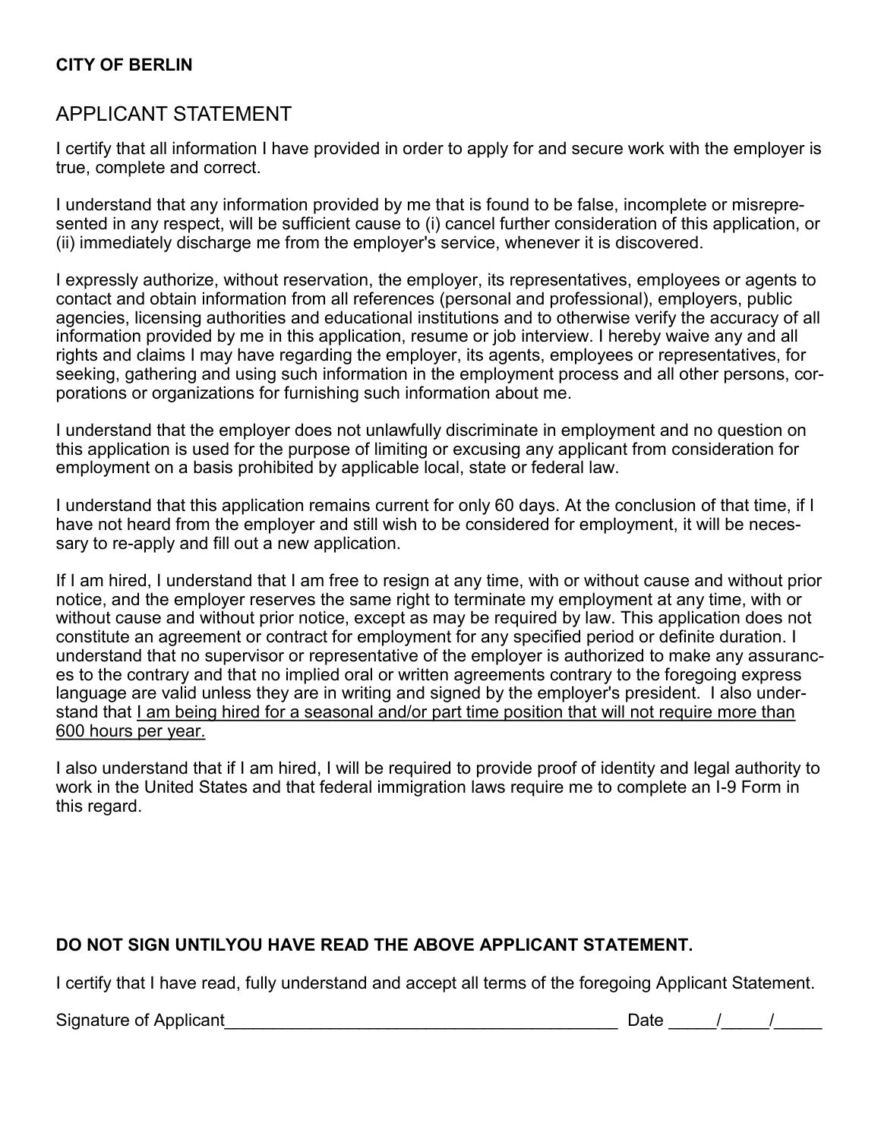### **CITY OF BERLIN**

## APPLICANT STATEMENT

I certify that all information I have provided in order to apply for and secure work with the employer is true, complete and correct.

I understand that any information provided by me that is found to be false, incomplete or misrepresented in any respect, will be sufficient cause to (i) cancel further consideration of this application, or (ii) immediately discharge me from the employer's service, whenever it is discovered.

I expressly authorize, without reservation, the employer, its representatives, employees or agents to contact and obtain information from all references (personal and professional), employers, public agencies, licensing authorities and educational institutions and to otherwise verify the accuracy of all information provided by me in this application, resume or job interview. I hereby waive any and all rights and claims I may have regarding the employer, its agents, employees or representatives, for seeking, gathering and using such information in the employment process and all other persons, corporations or organizations for furnishing such information about me.

I understand that the employer does not unlawfully discriminate in employment and no question on this application is used for the purpose of limiting or excusing any applicant from consideration for employment on a basis prohibited by applicable local, state or federal law.

I understand that this application remains current for only 60 days. At the conclusion of that time, if I have not heard from the employer and still wish to be considered for employment, it will be necessary to re-apply and fill out a new application.

If I am hired, I understand that I am free to resign at any time, with or without cause and without prior notice, and the employer reserves the same right to terminate my employment at any time, with or without cause and without prior notice, except as may be required by law. This application does not constitute an agreement or contract for employment for any specified period or definite duration. I understand that no supervisor or representative of the employer is authorized to make any assurances to the contrary and that no implied oral or written agreements contrary to the foregoing express language are valid unless they are in writing and signed by the employer's president. I also understand that I am being hired for a seasonal and/or part time position that will not require more than 600 hours per year.

I also understand that if I am hired, I will be required to provide proof of identity and legal authority to work in the United States and that federal immigration laws require me to complete an I-9 Form in this regard.

### **DO NOT SIGN UNTILYOU HAVE READ THE ABOVE APPLICANT STATEMENT.**

I certify that I have read, fully understand and accept all terms of the foregoing Applicant Statement.

Signature of Applicant\_\_\_\_\_\_\_\_\_\_\_\_\_\_\_\_\_\_\_\_\_\_\_\_\_\_\_\_\_\_\_\_\_\_\_\_\_\_\_\_\_ Date \_\_\_\_\_/\_\_\_\_\_/\_\_\_\_\_

| Date |  |  |
|------|--|--|
|      |  |  |